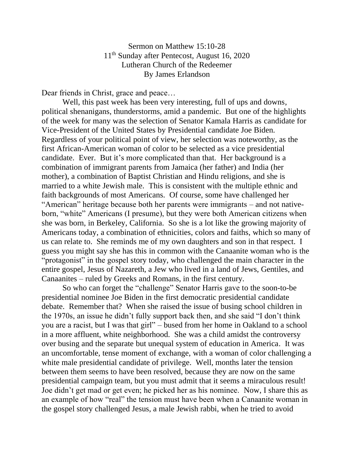Sermon on Matthew 15:10-28 11th Sunday after Pentecost, August 16, 2020 Lutheran Church of the Redeemer By James Erlandson

Dear friends in Christ, grace and peace…

Well, this past week has been very interesting, full of ups and downs, political shenanigans, thunderstorms, amid a pandemic. But one of the highlights of the week for many was the selection of Senator Kamala Harris as candidate for Vice-President of the United States by Presidential candidate Joe Biden. Regardless of your political point of view, her selection was noteworthy, as the first African-American woman of color to be selected as a vice presidential candidate. Ever. But it's more complicated than that. Her background is a combination of immigrant parents from Jamaica (her father) and India (her mother), a combination of Baptist Christian and Hindu religions, and she is married to a white Jewish male. This is consistent with the multiple ethnic and faith backgrounds of most Americans. Of course, some have challenged her "American" heritage because both her parents were immigrants – and not nativeborn, "white" Americans (I presume), but they were both American citizens when she was born, in Berkeley, California. So she is a lot like the growing majority of Americans today, a combination of ethnicities, colors and faiths, which so many of us can relate to. She reminds me of my own daughters and son in that respect. I guess you might say she has this in common with the Canaanite woman who is the "protagonist" in the gospel story today, who challenged the main character in the entire gospel, Jesus of Nazareth, a Jew who lived in a land of Jews, Gentiles, and Canaanites – ruled by Greeks and Romans, in the first century.

So who can forget the "challenge" Senator Harris gave to the soon-to-be presidential nominee Joe Biden in the first democratic presidential candidate debate. Remember that? When she raised the issue of busing school children in the 1970s, an issue he didn't fully support back then, and she said "I don't think you are a racist, but I was that girl" – bused from her home in Oakland to a school in a more affluent, white neighborhood. She was a child amidst the controversy over busing and the separate but unequal system of education in America. It was an uncomfortable, tense moment of exchange, with a woman of color challenging a white male presidential candidate of privilege. Well, months later the tension between them seems to have been resolved, because they are now on the same presidential campaign team, but you must admit that it seems a miraculous result! Joe didn't get mad or get even; he picked her as his nominee. Now, I share this as an example of how "real" the tension must have been when a Canaanite woman in the gospel story challenged Jesus, a male Jewish rabbi, when he tried to avoid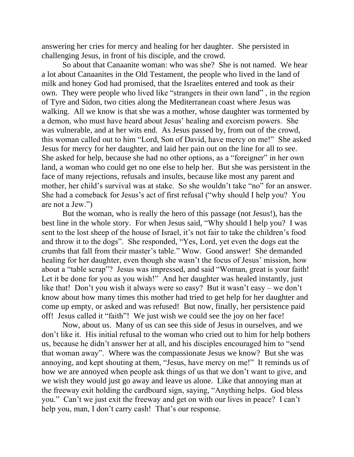answering her cries for mercy and healing for her daughter. She persisted in challenging Jesus, in front of his disciple, and the crowd.

So about that Canaanite woman: who was she? She is not named. We hear a lot about Canaanites in the Old Testament, the people who lived in the land of milk and honey God had promised, that the Israelites entered and took as their own. They were people who lived like "strangers in their own land" , in the region of Tyre and Sidon, two cities along the Mediterranean coast where Jesus was walking. All we know is that she was a mother, whose daughter was tormented by a demon, who must have heard about Jesus' healing and exorcism powers. She was vulnerable, and at her wits end. As Jesus passed by, from out of the crowd, this woman called out to him "Lord, Son of David, have mercy on me!" She asked Jesus for mercy for her daughter, and laid her pain out on the line for all to see. She asked for help, because she had no other options, as a "foreigner" in her own land, a woman who could get no one else to help her. But she was persistent in the face of many rejections, refusals and insults, because like most any parent and mother, her child's survival was at stake. So she wouldn't take "no" for an answer. She had a comeback for Jesus's act of first refusal ("why should I help you? You are not a Jew.")

But the woman, who is really the hero of this passage (not Jesus!), has the best line in the whole story. For when Jesus said, "Why should I help you? I was sent to the lost sheep of the house of Israel, it's not fair to take the children's food and throw it to the dogs". She responded, "Yes, Lord, yet even the dogs eat the crumbs that fall from their master's table." Wow. Good answer! She demanded healing for her daughter, even though she wasn't the focus of Jesus' mission, how about a "table scrap"? Jesus was impressed, and said "Woman, great is your faith! Let it be done for you as you wish!" And her daughter was healed instantly, just like that! Don't you wish it always were so easy? But it wasn't easy – we don't know about how many times this mother had tried to get help for her daughter and come up empty, or asked and was refused! But now, finally, her persistence paid off! Jesus called it "faith"! We just wish we could see the joy on her face!

Now, about us. Many of us can see this side of Jesus in ourselves, and we don't like it. His initial refusal to the woman who cried out to him for help bothers us, because he didn't answer her at all, and his disciples encouraged him to "send that woman away". Where was the compassionate Jesus we know? But she was annoying, and kept shouting at them, "Jesus, have mercy on me!" It reminds us of how we are annoyed when people ask things of us that we don't want to give, and we wish they would just go away and leave us alone. Like that annoying man at the freeway exit holding the cardboard sign, saying, "Anything helps. God bless you." Can't we just exit the freeway and get on with our lives in peace? I can't help you, man, I don't carry cash! That's our response.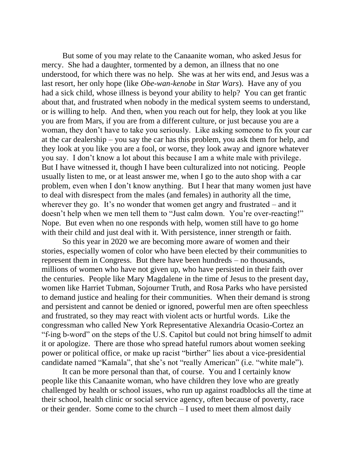But some of you may relate to the Canaanite woman, who asked Jesus for mercy. She had a daughter, tormented by a demon, an illness that no one understood, for which there was no help. She was at her wits end, and Jesus was a last resort, her only hope (like *Obe-wan-kenobe* in *Star Wars*). Have any of you had a sick child, whose illness is beyond your ability to help? You can get frantic about that, and frustrated when nobody in the medical system seems to understand, or is willing to help. And then, when you reach out for help, they look at you like you are from Mars, if you are from a different culture, or just because you are a woman, they don't have to take you seriously. Like asking someone to fix your car at the car dealership – you say the car has this problem, you ask them for help, and they look at you like you are a fool, or worse, they look away and ignore whatever you say. I don't know a lot about this because I am a white male with privilege. But I have witnessed it, though I have been culturalized into not noticing. People usually listen to me, or at least answer me, when I go to the auto shop with a car problem, even when I don't know anything. But I hear that many women just have to deal with disrespect from the males (and females) in authority all the time, wherever they go. It's no wonder that women get angry and frustrated – and it doesn't help when we men tell them to "Just calm down. You're over-reacting!" Nope. But even when no one responds with help, women still have to go home with their child and just deal with it. With persistence, inner strength or faith.

So this year in 2020 we are becoming more aware of women and their stories, especially women of color who have been elected by their communities to represent them in Congress. But there have been hundreds – no thousands, millions of women who have not given up, who have persisted in their faith over the centuries. People like Mary Magdalene in the time of Jesus to the present day, women like Harriet Tubman, Sojourner Truth, and Rosa Parks who have persisted to demand justice and healing for their communities. When their demand is strong and persistent and cannot be denied or ignored, powerful men are often speechless and frustrated, so they may react with violent acts or hurtful words. Like the congressman who called New York Representative Alexandria Ocasio-Cortez an "f-ing b-word" on the steps of the U.S. Capitol but could not bring himself to admit it or apologize. There are those who spread hateful rumors about women seeking power or political office, or make up racist "birther" lies about a vice-presidential candidate named "Kamala", that she's not "really American" (i.e. "white male").

It can be more personal than that, of course. You and I certainly know people like this Canaanite woman, who have children they love who are greatly challenged by health or school issues, who run up against roadblocks all the time at their school, health clinic or social service agency, often because of poverty, race or their gender. Some come to the church – I used to meet them almost daily